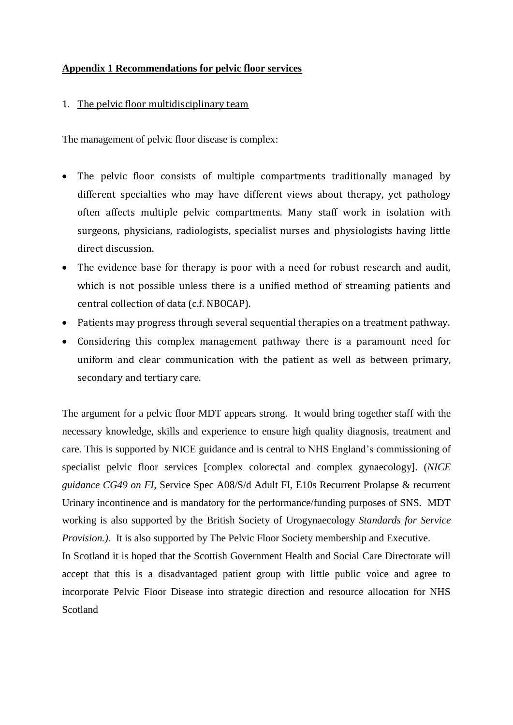## **Appendix 1 Recommendations for pelvic floor services**

#### 1. The pelvic floor multidisciplinary team

The management of pelvic floor disease is complex:

- The pelvic floor consists of multiple compartments traditionally managed by different specialties who may have different views about therapy, yet pathology often affects multiple pelvic compartments. Many staff work in isolation with surgeons, physicians, radiologists, specialist nurses and physiologists having little direct discussion.
- The evidence base for therapy is poor with a need for robust research and audit, which is not possible unless there is a unified method of streaming patients and central collection of data (c.f. NBOCAP).
- Patients may progress through several sequential therapies on a treatment pathway.
- Considering this complex management pathway there is a paramount need for uniform and clear communication with the patient as well as between primary, secondary and tertiary care.

The argument for a pelvic floor MDT appears strong. It would bring together staff with the necessary knowledge, skills and experience to ensure high quality diagnosis, treatment and care. This is supported by NICE guidance and is central to NHS England's commissioning of specialist pelvic floor services [complex colorectal and complex gynaecology]. (*NICE guidance CG49 on FI,* Service Spec A08/S/d Adult FI, E10s Recurrent Prolapse & recurrent Urinary incontinence and is mandatory for the performance/funding purposes of SNS. MDT working is also supported by the British Society of Urogynaecology *Standards for Service Provision.)*. It is also supported by The Pelvic Floor Society membership and Executive.

In Scotland it is hoped that the Scottish Government Health and Social Care Directorate will accept that this is a disadvantaged patient group with little public voice and agree to incorporate Pelvic Floor Disease into strategic direction and resource allocation for NHS Scotland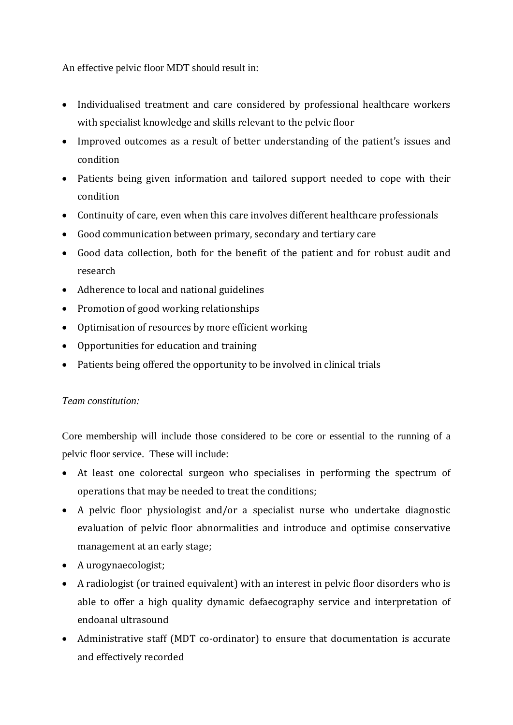An effective pelvic floor MDT should result in:

- Individualised treatment and care considered by professional healthcare workers with specialist knowledge and skills relevant to the pelvic floor
- Improved outcomes as a result of better understanding of the patient's issues and condition
- Patients being given information and tailored support needed to cope with their condition
- Continuity of care, even when this care involves different healthcare professionals
- Good communication between primary, secondary and tertiary care
- Good data collection, both for the benefit of the patient and for robust audit and research
- Adherence to local and national guidelines
- Promotion of good working relationships
- Optimisation of resources by more efficient working
- Opportunities for education and training
- Patients being offered the opportunity to be involved in clinical trials

# *Team constitution:*

Core membership will include those considered to be core or essential to the running of a pelvic floor service. These will include:

- At least one colorectal surgeon who specialises in performing the spectrum of operations that may be needed to treat the conditions;
- A pelvic floor physiologist and/or a specialist nurse who undertake diagnostic evaluation of pelvic floor abnormalities and introduce and optimise conservative management at an early stage;
- A urogynaecologist;
- A radiologist (or trained equivalent) with an interest in pelvic floor disorders who is able to offer a high quality dynamic defaecography service and interpretation of endoanal ultrasound
- Administrative staff (MDT co-ordinator) to ensure that documentation is accurate and effectively recorded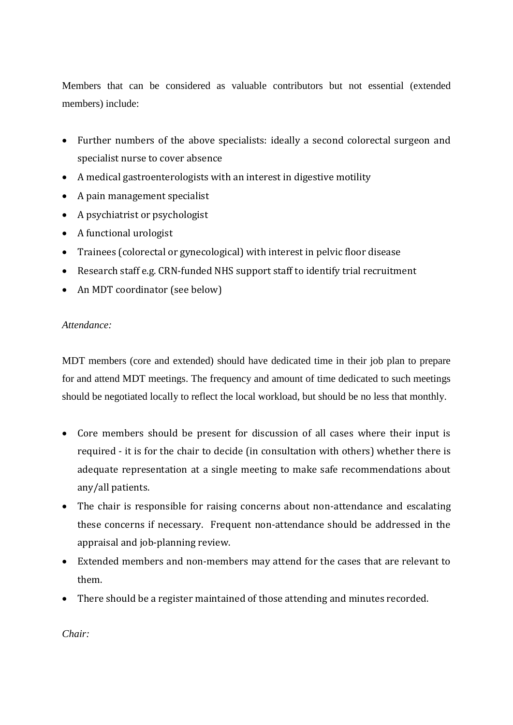Members that can be considered as valuable contributors but not essential (extended members) include:

- Further numbers of the above specialists: ideally a second colorectal surgeon and specialist nurse to cover absence
- A medical gastroenterologists with an interest in digestive motility
- A pain management specialist
- A psychiatrist or psychologist
- A functional urologist
- Trainees (colorectal or gynecological) with interest in pelvic floor disease
- Research staff e.g. CRN-funded NHS support staff to identify trial recruitment
- An MDT coordinator (see below)

## *Attendance:*

MDT members (core and extended) should have dedicated time in their job plan to prepare for and attend MDT meetings. The frequency and amount of time dedicated to such meetings should be negotiated locally to reflect the local workload, but should be no less that monthly.

- Core members should be present for discussion of all cases where their input is required - it is for the chair to decide (in consultation with others) whether there is adequate representation at a single meeting to make safe recommendations about any/all patients.
- The chair is responsible for raising concerns about non-attendance and escalating these concerns if necessary. Frequent non-attendance should be addressed in the appraisal and job-planning review.
- Extended members and non-members may attend for the cases that are relevant to them.
- There should be a register maintained of those attending and minutes recorded.

*Chair:*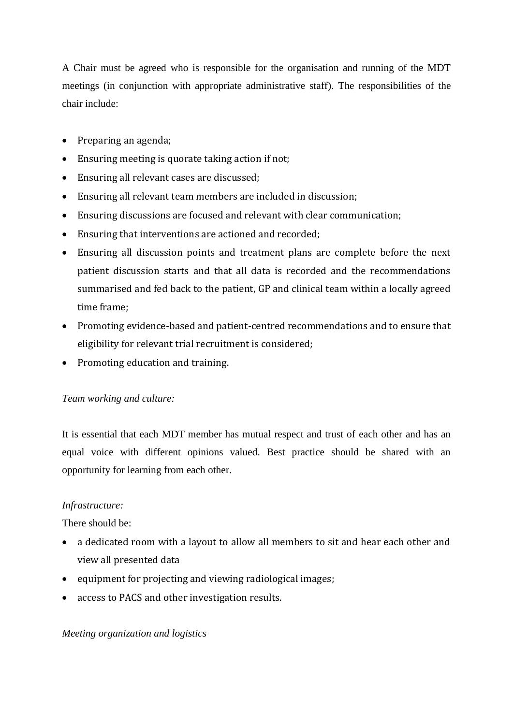A Chair must be agreed who is responsible for the organisation and running of the MDT meetings (in conjunction with appropriate administrative staff). The responsibilities of the chair include:

- Preparing an agenda;
- Ensuring meeting is quorate taking action if not;
- Ensuring all relevant cases are discussed;
- Ensuring all relevant team members are included in discussion;
- Ensuring discussions are focused and relevant with clear communication;
- Ensuring that interventions are actioned and recorded;
- Ensuring all discussion points and treatment plans are complete before the next patient discussion starts and that all data is recorded and the recommendations summarised and fed back to the patient, GP and clinical team within a locally agreed time frame;
- Promoting evidence-based and patient-centred recommendations and to ensure that eligibility for relevant trial recruitment is considered;
- Promoting education and training.

## *Team working and culture:*

It is essential that each MDT member has mutual respect and trust of each other and has an equal voice with different opinions valued. Best practice should be shared with an opportunity for learning from each other.

# *Infrastructure:*

There should be:

- a dedicated room with a layout to allow all members to sit and hear each other and view all presented data
- equipment for projecting and viewing radiological images;
- access to PACS and other investigation results.

## *Meeting organization and logistics*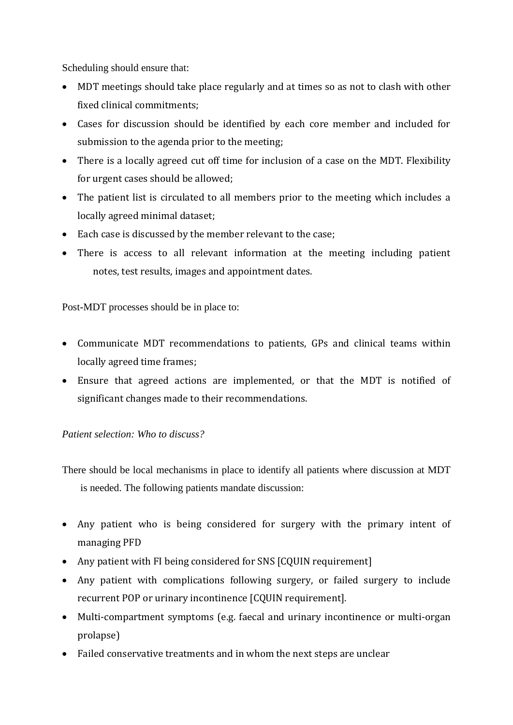Scheduling should ensure that:

- MDT meetings should take place regularly and at times so as not to clash with other fixed clinical commitments;
- Cases for discussion should be identified by each core member and included for submission to the agenda prior to the meeting;
- There is a locally agreed cut off time for inclusion of a case on the MDT. Flexibility for urgent cases should be allowed;
- The patient list is circulated to all members prior to the meeting which includes a locally agreed minimal dataset;
- Each case is discussed by the member relevant to the case;
- There is access to all relevant information at the meeting including patient notes, test results, images and appointment dates.

Post-MDT processes should be in place to:

- Communicate MDT recommendations to patients, GPs and clinical teams within locally agreed time frames;
- Ensure that agreed actions are implemented, or that the MDT is notified of significant changes made to their recommendations.

# *Patient selection: Who to discuss?*

There should be local mechanisms in place to identify all patients where discussion at MDT is needed. The following patients mandate discussion:

- Any patient who is being considered for surgery with the primary intent of managing PFD
- Any patient with FI being considered for SNS [CQUIN requirement]
- Any patient with complications following surgery, or failed surgery to include recurrent POP or urinary incontinence [CQUIN requirement].
- Multi-compartment symptoms (e.g. faecal and urinary incontinence or multi-organ prolapse)
- Failed conservative treatments and in whom the next steps are unclear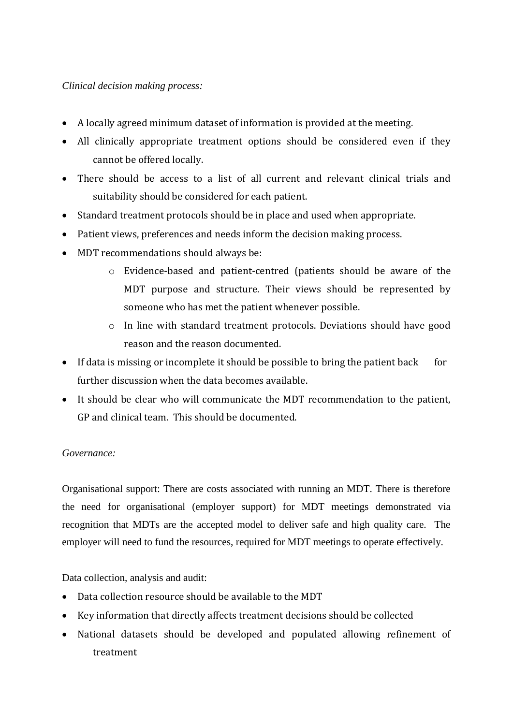## *Clinical decision making process:*

- A locally agreed minimum dataset of information is provided at the meeting.
- All clinically appropriate treatment options should be considered even if they cannot be offered locally.
- There should be access to a list of all current and relevant clinical trials and suitability should be considered for each patient.
- Standard treatment protocols should be in place and used when appropriate.
- Patient views, preferences and needs inform the decision making process.
- MDT recommendations should always be:
	- o Evidence-based and patient-centred (patients should be aware of the MDT purpose and structure. Their views should be represented by someone who has met the patient whenever possible.
	- o In line with standard treatment protocols. Deviations should have good reason and the reason documented.
- If data is missing or incomplete it should be possible to bring the patient back for further discussion when the data becomes available.
- It should be clear who will communicate the MDT recommendation to the patient, GP and clinical team. This should be documented.

## *Governance:*

Organisational support: There are costs associated with running an MDT. There is therefore the need for organisational (employer support) for MDT meetings demonstrated via recognition that MDTs are the accepted model to deliver safe and high quality care. The employer will need to fund the resources, required for MDT meetings to operate effectively.

Data collection, analysis and audit:

- Data collection resource should be available to the MDT
- Key information that directly affects treatment decisions should be collected
- National datasets should be developed and populated allowing refinement of treatment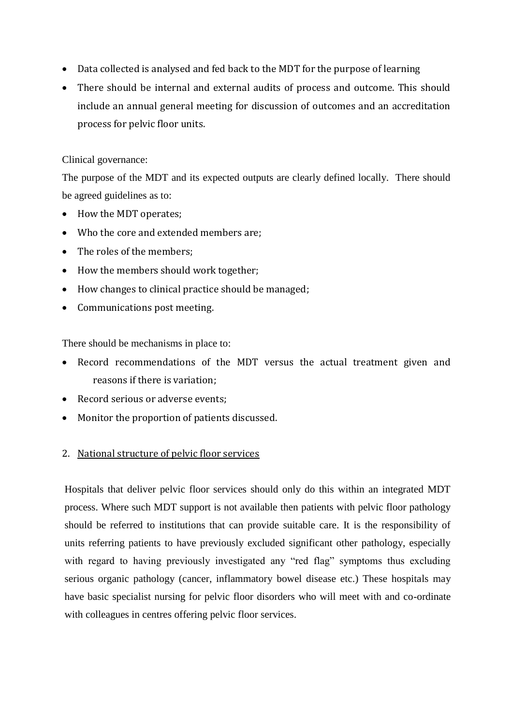- Data collected is analysed and fed back to the MDT for the purpose of learning
- There should be internal and external audits of process and outcome. This should include an annual general meeting for discussion of outcomes and an accreditation process for pelvic floor units.

## Clinical governance:

The purpose of the MDT and its expected outputs are clearly defined locally. There should be agreed guidelines as to:

- How the MDT operates;
- Who the core and extended members are;
- The roles of the members:
- How the members should work together;
- How changes to clinical practice should be managed;
- Communications post meeting.

There should be mechanisms in place to:

- Record recommendations of the MDT versus the actual treatment given and reasons if there is variation;
- Record serious or adverse events;
- Monitor the proportion of patients discussed.

## 2. National structure of pelvic floor services

Hospitals that deliver pelvic floor services should only do this within an integrated MDT process. Where such MDT support is not available then patients with pelvic floor pathology should be referred to institutions that can provide suitable care. It is the responsibility of units referring patients to have previously excluded significant other pathology, especially with regard to having previously investigated any "red flag" symptoms thus excluding serious organic pathology (cancer, inflammatory bowel disease etc.) These hospitals may have basic specialist nursing for pelvic floor disorders who will meet with and co-ordinate with colleagues in centres offering pelvic floor services.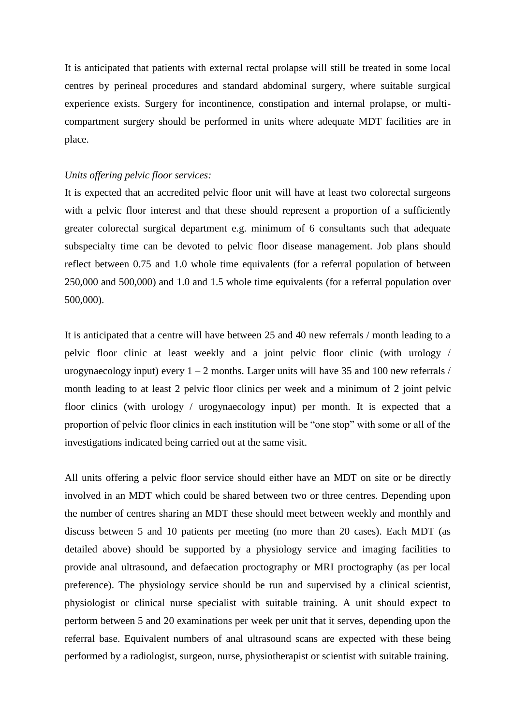It is anticipated that patients with external rectal prolapse will still be treated in some local centres by perineal procedures and standard abdominal surgery, where suitable surgical experience exists. Surgery for incontinence, constipation and internal prolapse, or multicompartment surgery should be performed in units where adequate MDT facilities are in place.

#### *Units offering pelvic floor services:*

It is expected that an accredited pelvic floor unit will have at least two colorectal surgeons with a pelvic floor interest and that these should represent a proportion of a sufficiently greater colorectal surgical department e.g. minimum of 6 consultants such that adequate subspecialty time can be devoted to pelvic floor disease management. Job plans should reflect between 0.75 and 1.0 whole time equivalents (for a referral population of between 250,000 and 500,000) and 1.0 and 1.5 whole time equivalents (for a referral population over 500,000).

It is anticipated that a centre will have between 25 and 40 new referrals / month leading to a pelvic floor clinic at least weekly and a joint pelvic floor clinic (with urology / urogynaecology input) every  $1 - 2$  months. Larger units will have 35 and 100 new referrals / month leading to at least 2 pelvic floor clinics per week and a minimum of 2 joint pelvic floor clinics (with urology / urogynaecology input) per month. It is expected that a proportion of pelvic floor clinics in each institution will be "one stop" with some or all of the investigations indicated being carried out at the same visit.

All units offering a pelvic floor service should either have an MDT on site or be directly involved in an MDT which could be shared between two or three centres. Depending upon the number of centres sharing an MDT these should meet between weekly and monthly and discuss between 5 and 10 patients per meeting (no more than 20 cases). Each MDT (as detailed above) should be supported by a physiology service and imaging facilities to provide anal ultrasound, and defaecation proctography or MRI proctography (as per local preference). The physiology service should be run and supervised by a clinical scientist, physiologist or clinical nurse specialist with suitable training. A unit should expect to perform between 5 and 20 examinations per week per unit that it serves, depending upon the referral base. Equivalent numbers of anal ultrasound scans are expected with these being performed by a radiologist, surgeon, nurse, physiotherapist or scientist with suitable training.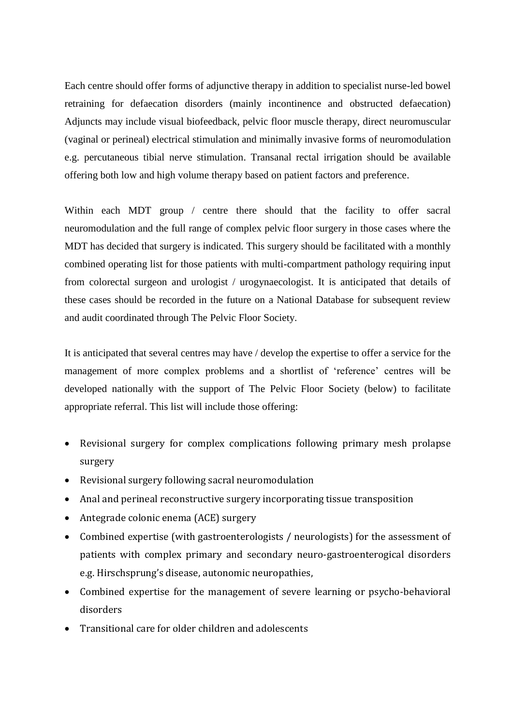Each centre should offer forms of adjunctive therapy in addition to specialist nurse-led bowel retraining for defaecation disorders (mainly incontinence and obstructed defaecation) Adjuncts may include visual biofeedback, pelvic floor muscle therapy, direct neuromuscular (vaginal or perineal) electrical stimulation and minimally invasive forms of neuromodulation e.g. percutaneous tibial nerve stimulation. Transanal rectal irrigation should be available offering both low and high volume therapy based on patient factors and preference.

Within each MDT group / centre there should that the facility to offer sacral neuromodulation and the full range of complex pelvic floor surgery in those cases where the MDT has decided that surgery is indicated. This surgery should be facilitated with a monthly combined operating list for those patients with multi-compartment pathology requiring input from colorectal surgeon and urologist / urogynaecologist. It is anticipated that details of these cases should be recorded in the future on a National Database for subsequent review and audit coordinated through The Pelvic Floor Society.

It is anticipated that several centres may have / develop the expertise to offer a service for the management of more complex problems and a shortlist of 'reference' centres will be developed nationally with the support of The Pelvic Floor Society (below) to facilitate appropriate referral. This list will include those offering:

- Revisional surgery for complex complications following primary mesh prolapse surgery
- Revisional surgery following sacral neuromodulation
- Anal and perineal reconstructive surgery incorporating tissue transposition
- Antegrade colonic enema (ACE) surgery
- Combined expertise (with gastroenterologists / neurologists) for the assessment of patients with complex primary and secondary neuro-gastroenterogical disorders e.g. Hirschsprung's disease, autonomic neuropathies,
- Combined expertise for the management of severe learning or psycho-behavioral disorders
- Transitional care for older children and adolescents